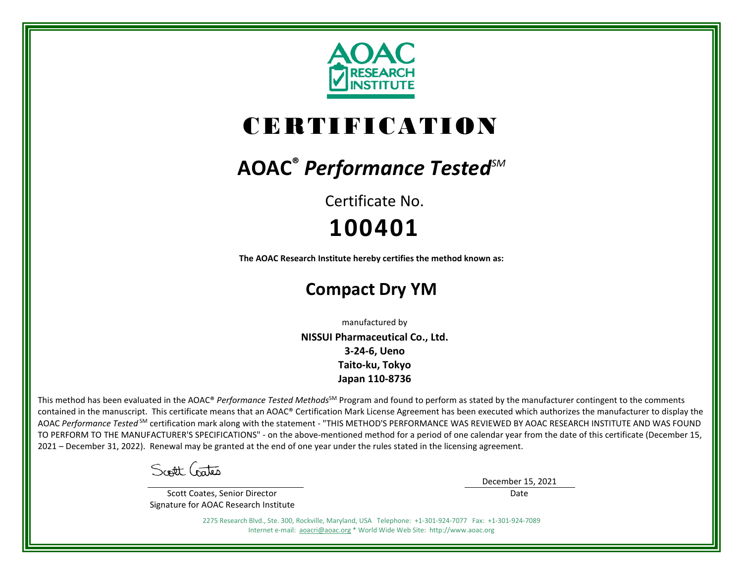

# CERTIFICATION

## **AOAC®** *Performance TestedSM*

Certificate No. **100401**

**The AOAC Research Institute hereby certifies the method known as:**

## **Compact Dry YM**

manufactured by

**NISSUI Pharmaceutical Co., Ltd. 3-24-6, Ueno Taito-ku, Tokyo Japan 110-8736**

This method has been evaluated in the AOAC® *Performance Tested Methods*<sup>SM</sup> Program and found to perform as stated by the manufacturer contingent to the comments contained in the manuscript. This certificate means that an AOAC® Certification Mark License Agreement has been executed which authorizes the manufacturer to display the AOAC *Performance Tested* SM certification mark along with the statement - "THIS METHOD'S PERFORMANCE WAS REVIEWED BY AOAC RESEARCH INSTITUTE AND WAS FOUND TO PERFORM TO THE MANUFACTURER'S SPECIFICATIONS" - on the above-mentioned method for a period of one calendar year from the date of this certificate (December 15, 2021 – December 31, 2022). Renewal may be granted at the end of one year under the rules stated in the licensing agreement.

Scott Gates

 Scott Coates, Senior Director Signature for AOAC Research Institute December 15, 2021

Date

2275 Research Blvd., Ste. 300, Rockville, Maryland, USA Telephone: +1-301-924-7077 Fax: +1-301-924-7089 Internet e-mail: [aoacri@aoac.org](mailto:aoacri@aoac.org) \* World Wide Web Site: http://www.aoac.org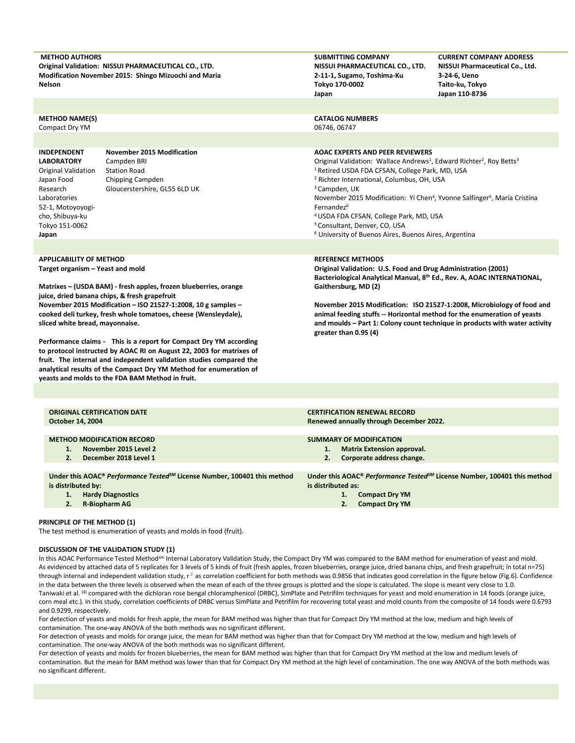| <b>METHOD AUTHORS</b><br><b>Nelson</b>                                                                                                                                             | Original Validation: NISSUI PHARMACEUTICAL CO., LTD.<br>Modification November 2015: Shingo Mizuochi and Maria                                                                                                                                                                                                                               | <b>SUBMITTING COMPANY</b><br>NISSUI PHARMACEUTICAL CO., LTD.<br>2-11-1, Sugamo, Toshima-Ku<br>Tokyo 170-0002<br>Japan                                                                                                                                                                                                                                                                                                                                                                                                                                                                                      | <b>CURRENT COMPANY ADDRESS</b><br>NISSUI Pharmaceutical Co., Ltd.<br>3-24-6, Ueno<br>Taito-ku, Tokyo<br>Japan 110-8736 |  |  |  |
|------------------------------------------------------------------------------------------------------------------------------------------------------------------------------------|---------------------------------------------------------------------------------------------------------------------------------------------------------------------------------------------------------------------------------------------------------------------------------------------------------------------------------------------|------------------------------------------------------------------------------------------------------------------------------------------------------------------------------------------------------------------------------------------------------------------------------------------------------------------------------------------------------------------------------------------------------------------------------------------------------------------------------------------------------------------------------------------------------------------------------------------------------------|------------------------------------------------------------------------------------------------------------------------|--|--|--|
|                                                                                                                                                                                    |                                                                                                                                                                                                                                                                                                                                             |                                                                                                                                                                                                                                                                                                                                                                                                                                                                                                                                                                                                            |                                                                                                                        |  |  |  |
| <b>METHOD NAME(S)</b><br>Compact Dry YM                                                                                                                                            |                                                                                                                                                                                                                                                                                                                                             | <b>CATALOG NUMBERS</b><br>06746, 06747                                                                                                                                                                                                                                                                                                                                                                                                                                                                                                                                                                     |                                                                                                                        |  |  |  |
|                                                                                                                                                                                    |                                                                                                                                                                                                                                                                                                                                             |                                                                                                                                                                                                                                                                                                                                                                                                                                                                                                                                                                                                            |                                                                                                                        |  |  |  |
| <b>INDEPENDENT</b><br><b>LABORATORY</b><br><b>Original Validation</b><br>Japan Food<br>Research<br>Laboratories<br>52-1, Motoyoyogi-<br>cho, Shibuya-ku<br>Tokyo 151-0062<br>Japan | <b>November 2015 Modification</b><br>Campden BRI<br><b>Station Road</b><br>Chipping Campden<br>Gloucerstershire, GL55 6LD UK                                                                                                                                                                                                                | <b>AOAC EXPERTS AND PEER REVIEWERS</b><br>Original Validation: Wallace Andrews <sup>1</sup> , Edward Richter <sup>2</sup> , Roy Betts <sup>3</sup><br><sup>1</sup> Retired USDA FDA CFSAN, College Park, MD, USA<br><sup>2</sup> Richter International, Columbus, OH, USA<br><sup>3</sup> Campden, UK<br>November 2015 Modification: Yi Chen <sup>4</sup> , Yvonne Salfinger <sup>5</sup> , Maria Cristina<br>Fernandez <sup>6</sup><br><sup>4</sup> USDA FDA CFSAN, College Park, MD, USA<br><sup>5</sup> Consultant, Denver, CO, USA<br><sup>6</sup> University of Buenos Aires, Buenos Aires, Argentina |                                                                                                                        |  |  |  |
|                                                                                                                                                                                    |                                                                                                                                                                                                                                                                                                                                             |                                                                                                                                                                                                                                                                                                                                                                                                                                                                                                                                                                                                            |                                                                                                                        |  |  |  |
| <b>APPLICABILITY OF METHOD</b><br>Target organism - Yeast and mold                                                                                                                 | Matrixes - (USDA BAM) - fresh apples, frozen blueberries, orange<br>juice, dried banana chips, & fresh grapefruit                                                                                                                                                                                                                           | <b>REFERENCE METHODS</b><br>Original Validation: U.S. Food and Drug Administration (2001)<br>Bacteriological Analytical Manual, 8th Ed., Rev. A, AOAC INTERNATIONAL,<br>Gaithersburg, MD (2)                                                                                                                                                                                                                                                                                                                                                                                                               |                                                                                                                        |  |  |  |
| sliced white bread, mayonnaise.                                                                                                                                                    | November 2015 Modification - ISO 21527-1:2008, 10 g samples -<br>cooked deli turkey, fresh whole tomatoes, cheese (Wensleydale),                                                                                                                                                                                                            | November 2015 Modification: ISO 21527-1:2008, Microbiology of food and<br>animal feeding stuffs -- Horizontal method for the enumeration of yeasts<br>and moulds - Part 1: Colony count technique in products with water activity<br>greater than 0.95 (4)                                                                                                                                                                                                                                                                                                                                                 |                                                                                                                        |  |  |  |
|                                                                                                                                                                                    | Performance claims - This is a report for Compact Dry YM according<br>to protocol instructed by AOAC RI on August 22, 2003 for matrixes of<br>fruit. The internal and independent validation studies compared the<br>analytical results of the Compact Dry YM Method for enumeration of<br>yeasts and molds to the FDA BAM Method in fruit. |                                                                                                                                                                                                                                                                                                                                                                                                                                                                                                                                                                                                            |                                                                                                                        |  |  |  |
|                                                                                                                                                                                    |                                                                                                                                                                                                                                                                                                                                             |                                                                                                                                                                                                                                                                                                                                                                                                                                                                                                                                                                                                            |                                                                                                                        |  |  |  |

| <b>ORIGINAL CERTIFICATION DATE</b>                                                               | <b>CERTIFICATION RENEWAL RECORD</b>                                                  |
|--------------------------------------------------------------------------------------------------|--------------------------------------------------------------------------------------|
| October 14, 2004                                                                                 | Renewed annually through December 2022.                                              |
|                                                                                                  |                                                                                      |
| <b>METHOD MODIFICATION RECORD</b>                                                                | <b>SUMMARY OF MODIFICATION</b>                                                       |
| November 2015 Level 2                                                                            | <b>Matrix Extension approval.</b><br>1.                                              |
| 2.<br>December 2018 Level 1                                                                      | Corporate address change.<br>2.                                                      |
|                                                                                                  |                                                                                      |
| Under this AOAC <sup>®</sup> Performance Tested <sup>SM</sup> License Number, 100401 this method | Under this AOAC® Performance Tested <sup>5M</sup> License Number, 100401 this method |
| is distributed by:                                                                               | is distributed as:                                                                   |
| <b>Hardy Diagnostics</b><br>1.                                                                   | <b>Compact Dry YM</b><br>1.                                                          |
| <b>R-Biopharm AG</b><br>2.                                                                       | <b>Compact Dry YM</b>                                                                |
|                                                                                                  |                                                                                      |

### **PRINCIPLE OF THE METHOD (1)**

The test method is enumeration of yeasts and molds in food (fruit).

## **DISCUSSION OF THE VALIDATION STUDY (1)**

In this AOAC Performance Tested Method<sup>sm</sup> Internal Laboratory Validation Study, the Compact Dry YM was compared to the BAM method for enumeration of yeast and mold. As evidenced by attached data of 5 replicates for 3 levels of 5 kinds of fruit (fresh apples, frozen blueberries, orange juice, dried banana chips, and fresh grapefruit; in total n=75) through internal and independent validation study,  $r^2$  as correlation coefficient for both methods was 0.9856 that indicates good correlation in the figure below (Fig.6). Confidence in the data between the three levels is observed when the mean of each of the three groups is plotted and the slope is calculated. The slope is meant very close to 1.0. Taniwaki et al. (4) compared with the dichloran rose bengal chloramphenicol (DRBC), SimPlate and Petrifilm techniques for yeast and mold enumeration in 14 foods (orange juice, corn meal etc.). In this study, correlation coefficients of DRBC versus SimPlate and Petrifilm for recovering total yeast and mold counts from the composite of 14 foods were 0.6793 and 0.9299, respectively.

For detection of yeasts and molds for fresh apple, the mean for BAM method was higher than that for Compact Dry YM method at the low, medium and high levels of contamination. The one-way ANOVA of the both methods was no significant different.

For detection of yeasts and molds for orange juice, the mean for BAM method was higher than that for Compact Dry YM method at the low, medium and high levels of contamination. The one-way ANOVA of the both methods was no significant different.

For detection of yeasts and molds for frozen blueberries, the mean for BAM method was higher than that for Compact Dry YM method at the low and medium levels of contamination. But the mean for BAM method was lower than that for Compact Dry YM method at the high level of contamination. The one way ANOVA of the both methods was no significant different.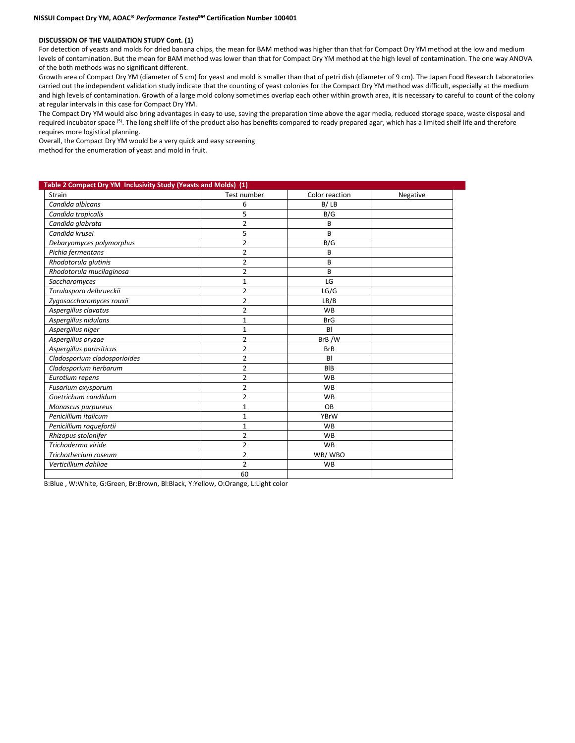#### **DISCUSSION OF THE VALIDATION STUDY Cont. (1)**

For detection of yeasts and molds for dried banana chips, the mean for BAM method was higher than that for Compact Dry YM method at the low and medium levels of contamination. But the mean for BAM method was lower than that for Compact Dry YM method at the high level of contamination. The one way ANOVA of the both methods was no significant different.

Growth area of Compact Dry YM (diameter of 5 cm) for yeast and mold is smaller than that of petri dish (diameter of 9 cm). The Japan Food Research Laboratories carried out the independent validation study indicate that the counting of yeast colonies for the Compact Dry YM method was difficult, especially at the medium and high levels of contamination. Growth of a large mold colony sometimes overlap each other within growth area, it is necessary to careful to count of the colony at regular intervals in this case for Compact Dry YM.

The Compact Dry YM would also bring advantages in easy to use, saving the preparation time above the agar media, reduced storage space, waste disposal and required incubator space <sup>(5)</sup>. The long shelf life of the product also has benefits compared to ready prepared agar, which has a limited shelf life and therefore requires more logistical planning.

Overall, the Compact Dry YM would be a very quick and easy screening

method for the enumeration of yeast and mold in fruit.

| Table 2 Compact Dry YM Inclusivity Study (Yeasts and Molds) (1) |                |                |          |  |  |  |  |  |  |
|-----------------------------------------------------------------|----------------|----------------|----------|--|--|--|--|--|--|
| Strain                                                          | Test number    | Color reaction | Negative |  |  |  |  |  |  |
| Candida albicans                                                | 6              | B/LB           |          |  |  |  |  |  |  |
| Candida tropicalis                                              | 5              | B/G            |          |  |  |  |  |  |  |
| Candida glabrata                                                | $\overline{2}$ | B              |          |  |  |  |  |  |  |
| Candida krusei                                                  | 5              | B              |          |  |  |  |  |  |  |
| Debaryomyces polymorphus                                        | 2              | B/G            |          |  |  |  |  |  |  |
| Pichia fermentans                                               | 2              | B              |          |  |  |  |  |  |  |
| Rhodotorula glutinis                                            | 2              | B              |          |  |  |  |  |  |  |
| Rhodotorula mucilaginosa                                        | $\overline{2}$ | B              |          |  |  |  |  |  |  |
| Saccharomyces                                                   | 1              | LG             |          |  |  |  |  |  |  |
| Torulaspora delbrueckii                                         | 2              | LG/G           |          |  |  |  |  |  |  |
| Zygosaccharomyces rouxii                                        | $\overline{2}$ | LB/B           |          |  |  |  |  |  |  |
| Aspergillus clavatus                                            | $\overline{2}$ | <b>WB</b>      |          |  |  |  |  |  |  |
| Aspergillus nidulans                                            | $\mathbf{1}$   | <b>BrG</b>     |          |  |  |  |  |  |  |
| Aspergillus niger                                               | $\mathbf{1}$   | BI             |          |  |  |  |  |  |  |
| Aspergillus oryzae                                              | $\overline{2}$ | BrB/W          |          |  |  |  |  |  |  |
| Aspergillus parasiticus                                         | $\overline{2}$ | <b>BrB</b>     |          |  |  |  |  |  |  |
| Cladosporium cladosporioides                                    | $\overline{2}$ | BI             |          |  |  |  |  |  |  |
| Cladosporium herbarum                                           | $\overline{2}$ | <b>BIB</b>     |          |  |  |  |  |  |  |
| Eurotium repens                                                 | 2              | <b>WB</b>      |          |  |  |  |  |  |  |
| Fusarium oxysporum                                              | 2              | <b>WB</b>      |          |  |  |  |  |  |  |
| Goetrichum candidum                                             | 2              | <b>WB</b>      |          |  |  |  |  |  |  |
| Monascus purpureus                                              | 1              | OB             |          |  |  |  |  |  |  |
| Penicillium italicum                                            | $\mathbf{1}$   | <b>YBrW</b>    |          |  |  |  |  |  |  |
| Penicillium roquefortii                                         | 1              | <b>WB</b>      |          |  |  |  |  |  |  |
| Rhizopus stolonifer                                             | 2              | <b>WB</b>      |          |  |  |  |  |  |  |
| Trichoderma viride                                              | 2              | <b>WB</b>      |          |  |  |  |  |  |  |
| Trichothecium roseum                                            | $\overline{2}$ | WB/WBO         |          |  |  |  |  |  |  |
| Verticillium dahliae                                            | $\overline{2}$ | <b>WB</b>      |          |  |  |  |  |  |  |
|                                                                 | 60             |                |          |  |  |  |  |  |  |

B:Blue , W:White, G:Green, Br:Brown, Bl:Black, Y:Yellow, O:Orange, L:Light color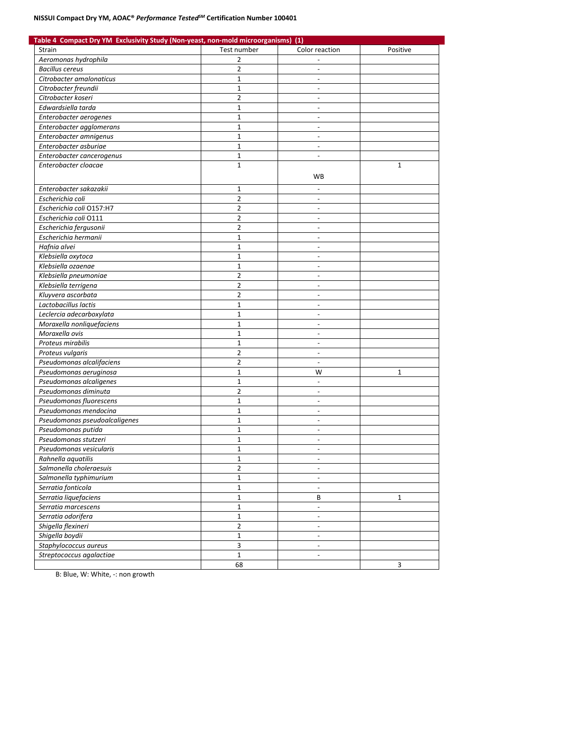## **NISSUI Compact Dry YM, AOAC®** *Performance TestedSM* **Certification Number 100401**

| Table 4 Compact Dry YM Exclusivity Study (Non-yeast, non-mold microorganisms) (1) |                   |                                            |              |  |  |  |  |  |  |
|-----------------------------------------------------------------------------------|-------------------|--------------------------------------------|--------------|--|--|--|--|--|--|
| Strain                                                                            | Test number       | Color reaction                             | Positive     |  |  |  |  |  |  |
| Aeromonas hydrophila                                                              | 2                 |                                            |              |  |  |  |  |  |  |
| <b>Bacillus cereus</b>                                                            | $\overline{2}$    | $\overline{\phantom{a}}$                   |              |  |  |  |  |  |  |
| Citrobacter amalonaticus                                                          | 1                 |                                            |              |  |  |  |  |  |  |
| Citrobacter freundii                                                              | $\mathbf{1}$      |                                            |              |  |  |  |  |  |  |
| Citrobacter koseri                                                                | $\overline{2}$    | $\overline{a}$                             |              |  |  |  |  |  |  |
| Edwardsiella tarda                                                                | 1                 | $\overline{\phantom{a}}$                   |              |  |  |  |  |  |  |
| Enterobacter aerogenes                                                            | $\mathbf 1$       |                                            |              |  |  |  |  |  |  |
| Enterobacter agglomerans                                                          | $\mathbf{1}$      | $\sim$                                     |              |  |  |  |  |  |  |
| Enterobacter amnigenus                                                            | 1                 | $\overline{\phantom{a}}$                   |              |  |  |  |  |  |  |
| Enterobacter asburiae                                                             | $\mathbf{1}$      | $\blacksquare$                             |              |  |  |  |  |  |  |
| Enterobacter cancerogenus                                                         | $\mathbf{1}$      | $\overline{\phantom{a}}$                   |              |  |  |  |  |  |  |
| Enterobacter cloacae                                                              | $\mathbf{1}$      |                                            | $\mathbf{1}$ |  |  |  |  |  |  |
|                                                                                   |                   |                                            |              |  |  |  |  |  |  |
|                                                                                   |                   | WB                                         |              |  |  |  |  |  |  |
| Enterobacter sakazakii                                                            | 1                 |                                            |              |  |  |  |  |  |  |
| Escherichia coli                                                                  | $\overline{2}$    | $\overline{\phantom{a}}$                   |              |  |  |  |  |  |  |
| Escherichia coli O157:H7                                                          | $\overline{2}$    |                                            |              |  |  |  |  |  |  |
| Escherichia coli 0111                                                             | $\overline{2}$    | $\overline{\phantom{a}}$                   |              |  |  |  |  |  |  |
| Escherichia fergusonii                                                            | $\overline{2}$    | $\blacksquare$                             |              |  |  |  |  |  |  |
| Escherichia hermanii                                                              | 1                 | $\overline{\phantom{a}}$                   |              |  |  |  |  |  |  |
| Hafnia alvei                                                                      | $\mathbf{1}$      | $\overline{\phantom{a}}$                   |              |  |  |  |  |  |  |
| Klebsiella oxytoca                                                                | $\mathbf{1}$      | $\overline{\phantom{a}}$                   |              |  |  |  |  |  |  |
| Klebsiella ozaenae                                                                | $\mathbf{1}$      | $\overline{\phantom{a}}$                   |              |  |  |  |  |  |  |
| Klebsiella pneumoniae                                                             | 2                 | $\blacksquare$                             |              |  |  |  |  |  |  |
| Klebsiella terrigena                                                              | $\overline{2}$    |                                            |              |  |  |  |  |  |  |
| Kluyvera ascorbata                                                                | $\overline{2}$    | $\sim$                                     |              |  |  |  |  |  |  |
| Lactobacillus lactis                                                              | 1                 | $\overline{\phantom{a}}$                   |              |  |  |  |  |  |  |
| Leclercia adecarboxylata                                                          | $\mathbf 1$       | $\overline{\phantom{a}}$                   |              |  |  |  |  |  |  |
| Moraxella nonliquefaciens                                                         | $\mathbf{1}$      | $\overline{a}$                             |              |  |  |  |  |  |  |
| Moraxella ovis                                                                    | 1                 | $\overline{\phantom{a}}$                   |              |  |  |  |  |  |  |
| Proteus mirabilis                                                                 | $\mathbf{1}$      |                                            |              |  |  |  |  |  |  |
| Proteus vulgaris                                                                  | $\overline{2}$    |                                            |              |  |  |  |  |  |  |
| Pseudomonas alcalifaciens                                                         | $\overline{2}$    | $\overline{\phantom{a}}$                   |              |  |  |  |  |  |  |
| Pseudomonas aeruginosa                                                            | 1                 | W                                          | 1            |  |  |  |  |  |  |
| Pseudomonas alcaligenes                                                           | $\mathbf 1$       | $\overline{\phantom{a}}$                   |              |  |  |  |  |  |  |
| Pseudomonas diminuta                                                              | $\overline{2}$    | $\overline{a}$                             |              |  |  |  |  |  |  |
| Pseudomonas fluorescens                                                           | 1                 | $\overline{\phantom{a}}$                   |              |  |  |  |  |  |  |
| Pseudomonas mendocina                                                             | $\mathbf{1}$      | $\overline{\phantom{a}}$                   |              |  |  |  |  |  |  |
| Pseudomonas pseudoalcaligenes                                                     | $\mathbf{1}$      |                                            |              |  |  |  |  |  |  |
| Pseudomonas putida                                                                | $\mathbf{1}$      | $\overline{\phantom{a}}$                   |              |  |  |  |  |  |  |
| Pseudomonas stutzeri                                                              | $\overline{1}$    | $\overline{\phantom{a}}$                   |              |  |  |  |  |  |  |
| Pseudomonas vesicularis                                                           | $\mathbf{1}$      |                                            |              |  |  |  |  |  |  |
| Rahnella aquatilis                                                                | $\mathbf 1$       | $\overline{\phantom{a}}$                   |              |  |  |  |  |  |  |
| Salmonella choleraesuis                                                           | $\overline{2}$    | $\overline{\phantom{a}}$                   |              |  |  |  |  |  |  |
| Salmonella typhimurium                                                            | $\mathbf 1$       | $\blacksquare$                             |              |  |  |  |  |  |  |
| Serratia fonticola                                                                | $\mathbf{1}$      | $\overline{\phantom{a}}$                   |              |  |  |  |  |  |  |
| Serratia liquefaciens                                                             | $\mathbf 1$       | В                                          | $\mathbf{1}$ |  |  |  |  |  |  |
| Serratia marcescens                                                               | $\mathbf{1}$      |                                            |              |  |  |  |  |  |  |
|                                                                                   | $\mathbf 1$       |                                            |              |  |  |  |  |  |  |
| Serratia odorifera                                                                | $\overline{2}$    | $\overline{\phantom{a}}$<br>$\blacksquare$ |              |  |  |  |  |  |  |
| Shigella flexineri                                                                |                   |                                            |              |  |  |  |  |  |  |
| Shigella boydii                                                                   | $\mathbf{1}$<br>3 | $\overline{\phantom{a}}$                   |              |  |  |  |  |  |  |
| Staphylococcus aureus                                                             |                   | $\overline{\phantom{a}}$                   |              |  |  |  |  |  |  |
| Streptococcus agalactiae                                                          | $\mathbf{1}$      | $\overline{\phantom{a}}$                   |              |  |  |  |  |  |  |
|                                                                                   | 68                |                                            | 3            |  |  |  |  |  |  |

B: Blue, W: White, -: non growth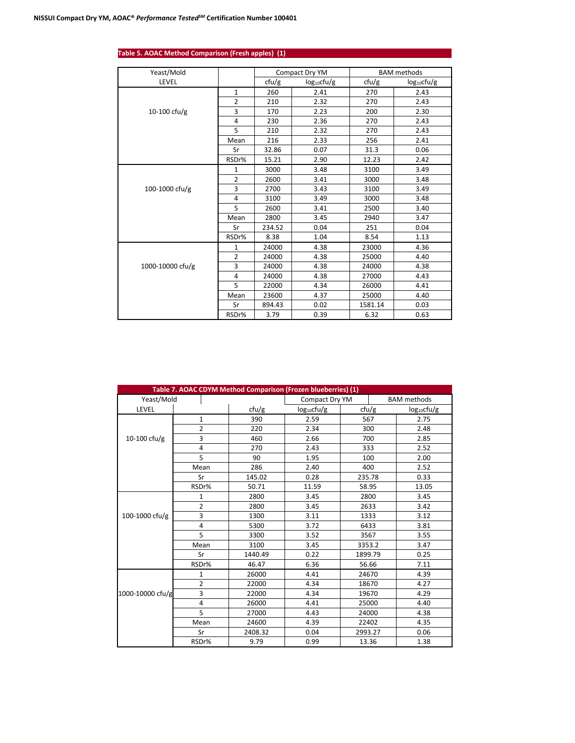| Yeast/Mold       |                |        | Compact Dry YM   | <b>BAM</b> methods |                  |  |
|------------------|----------------|--------|------------------|--------------------|------------------|--|
| LEVEL            |                | ctu/g  | $log_{10}$ cfu/g | ctu/g              | $log_{10}$ cfu/g |  |
|                  | $\mathbf{1}$   | 260    | 2.41             | 270                | 2.43             |  |
|                  | $\overline{2}$ | 210    | 2.32             | 270                | 2.43             |  |
| 10-100 cfu/g     | 3              | 170    | 2.23             | 200                | 2.30             |  |
|                  | $\overline{4}$ | 230    | 2.36             | 270                | 2.43             |  |
|                  | 5              | 210    | 2.32             | 270                | 2.43             |  |
|                  | Mean           | 216    | 2.33             | 256                | 2.41             |  |
|                  | Sr             | 32.86  | 0.07             | 31.3               | 0.06             |  |
|                  | RSDr%          | 15.21  | 2.90             | 12.23              | 2.42             |  |
|                  | 1              | 3000   | 3.48             | 3100               | 3.49             |  |
|                  | $\overline{2}$ | 2600   | 3.41             | 3000               | 3.48             |  |
| 100-1000 cfu/g   | 3              | 2700   | 3.43             | 3100               | 3.49             |  |
|                  | 4              | 3100   | 3.49             | 3000               | 3.48             |  |
|                  | 5              | 2600   | 3.41             | 2500               | 3.40             |  |
|                  | Mean           | 2800   | 3.45             | 2940               | 3.47             |  |
|                  | Sr             | 234.52 | 0.04             | 251                | 0.04             |  |
|                  | RSDr%          | 8.38   | 1.04             | 8.54               | 1.13             |  |
|                  | $\mathbf{1}$   | 24000  | 4.38             | 23000              | 4.36             |  |
|                  | 2              | 24000  | 4.38             | 25000              | 4.40             |  |
| 1000-10000 cfu/g | 3              | 24000  | 4.38             | 24000              | 4.38             |  |
|                  | $\overline{4}$ | 24000  | 4.38             | 27000              | 4.43             |  |
|                  | 5              | 22000  | 4.34             | 26000              | 4.41             |  |
|                  | Mean           | 23600  | 4.37             | 25000              | 4.40             |  |
|                  | Sr             | 894.43 | 0.02             | 1581.14            | 0.03             |  |
|                  | RSDr%          | 3.79   | 0.39             | 6.32               | 0.63             |  |

## **Table 5. AOAC Method Comparison (Fresh apples) (1)**

|                  |                | Table 7. AOAC CDYM Method Comparison (Frozen blueberries) (1) |                  |         |       |                    |  |
|------------------|----------------|---------------------------------------------------------------|------------------|---------|-------|--------------------|--|
| Yeast/Mold       |                |                                                               | Compact Dry YM   |         |       | <b>BAM</b> methods |  |
| LEVEL            |                | ctu/g                                                         | $log_{10}$ cfu/g |         | ctu/g | $log_{10}$ cfu/g   |  |
|                  | 1              | 390                                                           | 2.59             | 567     |       | 2.75               |  |
|                  | $\overline{2}$ | 220                                                           | 2.34             | 300     |       | 2.48               |  |
| 10-100 cfu/g     | 3              | 460                                                           | 2.66             | 700     |       | 2.85               |  |
|                  | 4              | 270                                                           | 2.43             | 333     |       | 2.52               |  |
|                  | 5              | 90                                                            | 1.95             | 100     |       | 2.00               |  |
|                  | Mean           | 286                                                           | 2.40             | 400     |       | 2.52               |  |
|                  | Sr             | 145.02                                                        | 0.28             | 235.78  |       | 0.33               |  |
|                  | RSDr%          | 50.71                                                         | 11.59            | 58.95   |       | 13.05              |  |
|                  | 1              | 2800                                                          | 3.45             | 2800    |       | 3.45               |  |
|                  | $\overline{2}$ | 2800                                                          | 3.45             | 2633    |       | 3.42               |  |
| 100-1000 cfu/g   | 3              | 1300                                                          | 3.11             | 1333    |       | 3.12               |  |
|                  | 4              | 5300                                                          | 3.72             | 6433    |       | 3.81               |  |
|                  | 5              | 3300                                                          | 3.52             | 3567    |       | 3.55               |  |
|                  | Mean           | 3100                                                          | 3.45             | 3353.2  |       | 3.47               |  |
|                  | Sr             | 1440.49                                                       | 0.22             | 1899.79 |       | 0.25               |  |
|                  | RSDr%          | 46.47                                                         | 6.36             | 56.66   |       | 7.11               |  |
|                  | 1              | 26000                                                         | 4.41             | 24670   |       | 4.39               |  |
|                  | 2              | 22000                                                         | 4.34             |         | 18670 | 4.27               |  |
| 1000-10000 cfu/g | 3              | 22000                                                         | 4.34             |         | 19670 | 4.29               |  |
|                  | 4              | 26000                                                         | 4.41             | 25000   |       | 4.40               |  |
|                  | 5              | 27000                                                         | 4.43             | 24000   |       | 4.38               |  |
|                  | Mean           | 24600                                                         | 4.39             | 22402   |       | 4.35               |  |
|                  | Sr             | 2408.32                                                       | 0.04             | 2993.27 |       | 0.06               |  |
|                  | RSDr%          | 9.79                                                          | 0.99             | 13.36   |       | 1.38               |  |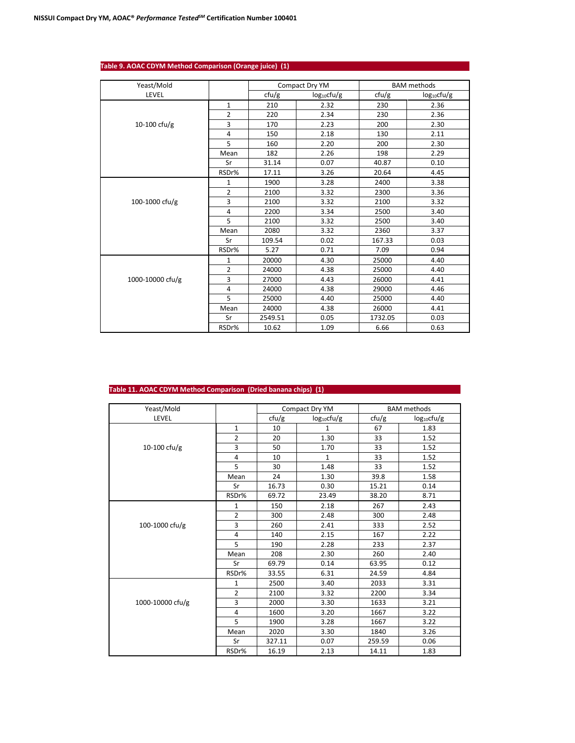| Yeast/Mold       |                |         | Compact Dry YM          |         | <b>BAM</b> methods      |
|------------------|----------------|---------|-------------------------|---------|-------------------------|
| LEVEL            |                | ctu/g   | log <sub>10</sub> cfu/g | ctu/g   | log <sub>10</sub> cfu/g |
|                  | $\mathbf 1$    | 210     | 2.32                    | 230     | 2.36                    |
|                  | $\overline{2}$ | 220     | 2.34                    | 230     | 2.36                    |
| 10-100 cfu/g     | 3              | 170     | 2.23                    | 200     | 2.30                    |
|                  | 4              | 150     | 2.18                    | 130     | 2.11                    |
|                  | 5              | 160     | 2.20                    | 200     | 2.30                    |
|                  | Mean           | 182     | 2.26                    | 198     | 2.29                    |
|                  | Sr             | 31.14   | 0.07                    | 40.87   | 0.10                    |
|                  | RSDr%          | 17.11   | 3.26                    | 20.64   | 4.45                    |
|                  | 1              | 1900    | 3.28                    | 2400    | 3.38                    |
|                  | $\overline{2}$ | 2100    | 3.32                    | 2300    | 3.36                    |
| 100-1000 cfu/g   | 3              | 2100    | 3.32                    | 2100    | 3.32                    |
|                  | $\overline{4}$ | 2200    | 3.34                    | 2500    | 3.40                    |
|                  | 5              | 2100    | 3.32                    | 2500    | 3.40                    |
|                  | Mean           | 2080    | 3.32                    | 2360    | 3.37                    |
|                  | Sr             | 109.54  | 0.02                    | 167.33  | 0.03                    |
|                  | RSDr%          | 5.27    | 0.71                    | 7.09    | 0.94                    |
|                  | 1              | 20000   | 4.30                    | 25000   | 4.40                    |
|                  | $\overline{2}$ | 24000   | 4.38                    | 25000   | 4.40                    |
| 1000-10000 cfu/g | 3              | 27000   | 4.43                    | 26000   | 4.41                    |
|                  | $\overline{4}$ | 24000   | 4.38                    | 29000   | 4.46                    |
|                  | 5              | 25000   | 4.40                    | 25000   | 4.40                    |
|                  | Mean           | 24000   | 4.38                    | 26000   | 4.41                    |
|                  | Sr             | 2549.51 | 0.05                    | 1732.05 | 0.03                    |
|                  | RSDr%          | 10.62   | 1.09                    | 6.66    | 0.63                    |

## **Table 9. AOAC CDYM Method Comparison (Orange juice) (1)**

## **Table 11. AOAC CDYM Method Comparison (Dried banana chips) (1)**

| Yeast/Mold       |                |        | Compact Dry YM   | <b>BAM</b> methods |                         |
|------------------|----------------|--------|------------------|--------------------|-------------------------|
| LEVEL            |                | cfu/g  | $log_{10}$ cfu/g | ctu/g              | log <sub>10</sub> cfu/g |
|                  | $\mathbf{1}$   | 10     | $\mathbf{1}$     | 67                 | 1.83                    |
|                  | $\overline{2}$ | 20     | 1.30             | 33                 | 1.52                    |
| 10-100 cfu/g     | 3              | 50     | 1.70             | 33                 | 1.52                    |
|                  | $\overline{4}$ | 10     | $\mathbf{1}$     | 33                 | 1.52                    |
|                  | 5              | 30     | 1.48             | 33                 | 1.52                    |
|                  | Mean           | 24     | 1.30             | 39.8               | 1.58                    |
|                  | Sr             | 16.73  | 0.30             | 15.21              | 0.14                    |
|                  | RSDr%          | 69.72  | 23.49            | 38.20              | 8.71                    |
|                  | $\mathbf{1}$   | 150    | 2.18             | 267                | 2.43                    |
|                  | $\overline{2}$ | 300    | 2.48             | 300                | 2.48                    |
| 100-1000 cfu/g   | 3              | 260    | 2.41             | 333                | 2.52                    |
|                  | $\overline{4}$ | 140    | 2.15             | 167                | 2.22                    |
|                  | 5              | 190    | 2.28             | 233                | 2.37                    |
|                  | Mean           | 208    | 2.30             | 260                | 2.40                    |
|                  | Sr             | 69.79  | 0.14             | 63.95              | 0.12                    |
|                  | RSDr%          | 33.55  | 6.31             | 24.59              | 4.84                    |
|                  | 1              | 2500   | 3.40             | 2033               | 3.31                    |
|                  | $\overline{2}$ | 2100   | 3.32             | 2200               | 3.34                    |
| 1000-10000 cfu/g | 3              | 2000   | 3.30             | 1633               | 3.21                    |
|                  | $\overline{4}$ | 1600   | 3.20             | 1667               | 3.22                    |
|                  | 5              | 1900   | 3.28             | 1667               | 3.22                    |
|                  | Mean           | 2020   | 3.30             | 1840               | 3.26                    |
|                  | Sr             | 327.11 | 0.07             | 259.59             | 0.06                    |
|                  | RSDr%          | 16.19  | 2.13             | 14.11              | 1.83                    |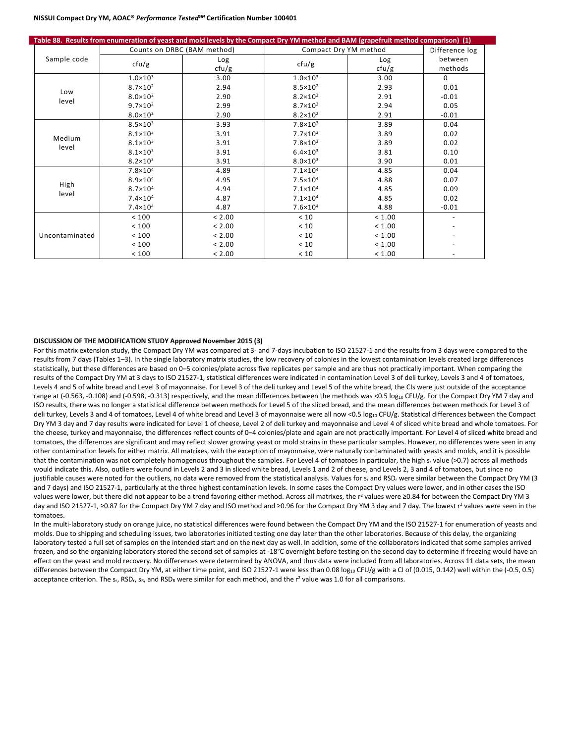## **NISSUI Compact Dry YM, AOAC®** *Performance TestedSM* **Certification Number 100401**

|                |                     | Table 88. Results from enumeration of yeast and mold levels by the Compact Dry YM method and BAM (grapefruit method comparison) (1) |                       |              |                    |
|----------------|---------------------|-------------------------------------------------------------------------------------------------------------------------------------|-----------------------|--------------|--------------------|
|                |                     | Counts on DRBC (BAM method)                                                                                                         | Compact Dry YM method |              | Difference log     |
| Sample code    | ctu/g               | Log<br>ctu/g                                                                                                                        | cfu/g                 | Log<br>cfu/g | between<br>methods |
|                | $1.0 \times 10^3$   | 3.00                                                                                                                                | $1.0 \times 10^3$     | 3.00         | $\Omega$           |
| Low            | $8.7 \times 10^{2}$ | 2.94                                                                                                                                | $8.5 \times 10^{2}$   | 2.93         | 0.01               |
| level          | $8.0 \times 10^{2}$ | 2.90                                                                                                                                | $8.2 \times 10^{2}$   | 2.91         | $-0.01$            |
|                | $9.7 \times 10^{2}$ | 2.99                                                                                                                                | $8.7 \times 10^{2}$   | 2.94         | 0.05               |
|                | $8.0 \times 10^{2}$ | 2.90                                                                                                                                | $8.2 \times 10^{2}$   | 2.91         | $-0.01$            |
|                | $8.5 \times 10^3$   | 3.93                                                                                                                                | $7.8 \times 10^3$     | 3.89         | 0.04               |
| Medium         | $8.1 \times 10^{3}$ | 3.91                                                                                                                                | $7.7 \times 10^3$     | 3.89         | 0.02               |
| level          | $8.1 \times 10^3$   | 3.91                                                                                                                                | $7.8 \times 10^3$     | 3.89         | 0.02               |
|                | $8.1 \times 10^3$   | 3.91                                                                                                                                | $6.4 \times 10^{3}$   | 3.81         | 0.10               |
|                | $8.2 \times 10^3$   | 3.91                                                                                                                                | $8.0 \times 10^{3}$   | 3.90         | 0.01               |
|                | $7.8 \times 10^{4}$ | 4.89                                                                                                                                | $7.1 \times 10^{4}$   | 4.85         | 0.04               |
| High           | $8.9 \times 10^{4}$ | 4.95                                                                                                                                | $7.5 \times 10^{4}$   | 4.88         | 0.07               |
| level          | $8.7 \times 10^{4}$ | 4.94                                                                                                                                | $7.1 \times 10^{4}$   | 4.85         | 0.09               |
|                | $7.4 \times 10^{4}$ | 4.87                                                                                                                                | $7.1 \times 10^{4}$   | 4.85         | 0.02               |
|                | $7.4 \times 10^{4}$ | 4.87                                                                                                                                | $7.6 \times 10^{4}$   | 4.88         | $-0.01$            |
|                | < 100               | < 2.00                                                                                                                              | < 10                  | < 1.00       |                    |
|                | < 100               | < 2.00                                                                                                                              | < 10                  | < 1.00       |                    |
| Uncontaminated | < 100               | < 2.00                                                                                                                              | < 10                  | < 1.00       |                    |
|                | < 100               | < 2.00                                                                                                                              | < 10                  | < 1.00       |                    |
|                | < 100               | < 2.00                                                                                                                              | $<10$                 | < 1.00       |                    |

#### **DISCUSSION OF THE MODIFICATION STUDY Approved November 2015 (3)**

For this matrix extension study, the Compact Dry YM was compared at 3- and 7-days incubation to ISO 21527-1 and the results from 3 days were compared to the results from 7 days (Tables 1-3). In the single laboratory matrix studies, the low recovery of colonies in the lowest contamination levels created large differences statistically, but these differences are based on 0–5 colonies/plate across five replicates per sample and are thus not practically important. When comparing the results of the Compact Dry YM at 3 days to ISO 21527-1, statistical differences were indicated in contamination Level 3 of deli turkey, Levels 3 and 4 of tomatoes, Levels 4 and 5 of white bread and Level 3 of mayonnaise. For Level 3 of the deli turkey and Level 5 of the white bread, the CIs were just outside of the acceptance range at (-0.563, -0.108) and (-0.598, -0.313) respectively, and the mean differences between the methods was <0.5 log<sub>10</sub> CFU/g. For the Compact Dry YM 7 day and ISO results, there was no longer a statistical difference between methods for Level 5 of the sliced bread, and the mean differences between methods for Level 3 of deli turkey, Levels 3 and 4 of tomatoes, Level 4 of white bread and Level 3 of mayonnaise were all now <0.5 log10 CFU/g. Statistical differences between the Compact Dry YM 3 day and 7 day results were indicated for Level 1 of cheese, Level 2 of deli turkey and mayonnaise and Level 4 of sliced white bread and whole tomatoes. For the cheese, turkey and mayonnaise, the differences reflect counts of 0–4 colonies/plate and again are not practically important. For Level 4 of sliced white bread and tomatoes, the differences are significant and may reflect slower growing yeast or mold strains in these particular samples. However, no differences were seen in any other contamination levels for either matrix. All matrixes, with the exception of mayonnaise, were naturally contaminated with yeasts and molds, and it is possible that the contamination was not completely homogenous throughout the samples. For Level 4 of tomatoes in particular, the high sr value (>0.7) across all methods would indicate this. Also, outliers were found in Levels 2 and 3 in sliced white bread, Levels 1 and 2 of cheese, and Levels 2, 3 and 4 of tomatoes, but since no justifiable causes were noted for the outliers, no data were removed from the statistical analysis. Values for s<sub>r</sub> and RSD<sub>r</sub> were similar between the Compact Dry YM (3) and 7 days) and ISO 21527-1, particularly at the three highest contamination levels. In some cases the Compact Dry values were lower, and in other cases the ISO values were lower, but there did not appear to be a trend favoring either method. Across all matrixes, the  $r^2$  values were ≥0.84 for between the Compact Dry YM 3 day and ISO 21527-1, ≥0.87 for the Compact Dry YM 7 day and ISO method and ≥0.96 for the Compact Dry YM 3 day and 7 day. The lowest r<sup>2</sup> values were seen in the tomatoes.

In the multi-laboratory study on orange juice, no statistical differences were found between the Compact Dry YM and the ISO 21527-1 for enumeration of yeasts and molds. Due to shipping and scheduling issues, two laboratories initiated testing one day later than the other laboratories. Because of this delay, the organizing laboratory tested a full set of samples on the intended start and on the next day as well. In addition, some of the collaborators indicated that some samples arrived frozen, and so the organizing laboratory stored the second set of samples at -18°C overnight before testing on the second day to determine if freezing would have an effect on the yeast and mold recovery. No differences were determined by ANOVA, and thus data were included from all laboratories. Across 11 data sets, the mean differences between the Compact Dry YM, at either time point, and ISO 21527-1 were less than 0.08 log<sub>10</sub> CFU/g with a CI of (0.015, 0.142) well within the (-0.5, 0.5) acceptance criterion. The  $s_r$ , RSD<sub>r</sub>, s<sub>R</sub>, and RSD<sub>R</sub> were similar for each method, and the  $r^2$  value was 1.0 for all comparisons.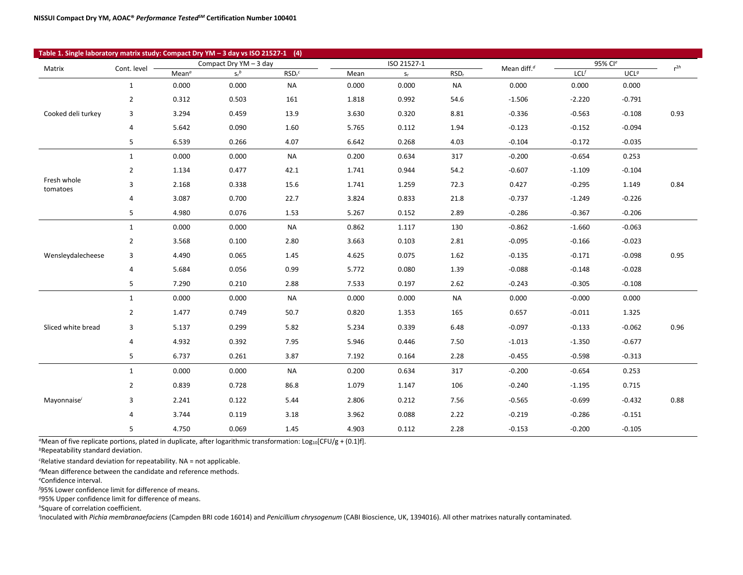| Table 1. Single laboratory matrix study: Compact Dry YM - 3 day vs ISO 21527-1 (4) |                |                   |                        |                     |       |             |                  |                         |          |                  |          |
|------------------------------------------------------------------------------------|----------------|-------------------|------------------------|---------------------|-------|-------------|------------------|-------------------------|----------|------------------|----------|
| Matrix                                                                             | Cont. level -  |                   | Compact Dry YM - 3 day |                     |       | ISO 21527-1 |                  | Mean diff. <sup>d</sup> | 95% Cle  |                  | $r^{2h}$ |
|                                                                                    |                | Mean <sup>a</sup> | $S_r^b$                | $RSDr$ <sup>c</sup> | Mean  | $S_r$       | RSD <sub>r</sub> |                         | LCL      | UCL <sup>g</sup> |          |
|                                                                                    | $\mathbf{1}$   | 0.000             | 0.000                  | <b>NA</b>           | 0.000 | 0.000       | <b>NA</b>        | 0.000                   | 0.000    | 0.000            |          |
|                                                                                    | $\overline{2}$ | 0.312             | 0.503                  | 161                 | 1.818 | 0.992       | 54.6             | $-1.506$                | $-2.220$ | $-0.791$         |          |
| Cooked deli turkey                                                                 | 3              | 3.294             | 0.459                  | 13.9                | 3.630 | 0.320       | 8.81             | $-0.336$                | $-0.563$ | $-0.108$         | 0.93     |
|                                                                                    | 4              | 5.642             | 0.090                  | 1.60                | 5.765 | 0.112       | 1.94             | $-0.123$                | $-0.152$ | $-0.094$         |          |
|                                                                                    | 5              | 6.539             | 0.266                  | 4.07                | 6.642 | 0.268       | 4.03             | $-0.104$                | $-0.172$ | $-0.035$         |          |
|                                                                                    | $\mathbf{1}$   | 0.000             | 0.000                  | <b>NA</b>           | 0.200 | 0.634       | 317              | $-0.200$                | $-0.654$ | 0.253            |          |
|                                                                                    | $\overline{2}$ | 1.134             | 0.477                  | 42.1                | 1.741 | 0.944       | 54.2             | $-0.607$                | $-1.109$ | $-0.104$         |          |
| Fresh whole<br>tomatoes                                                            | 3              | 2.168             | 0.338                  | 15.6                | 1.741 | 1.259       | 72.3             | 0.427                   | $-0.295$ | 1.149            | 0.84     |
|                                                                                    | 4              | 3.087             | 0.700                  | 22.7                | 3.824 | 0.833       | 21.8             | $-0.737$                | $-1.249$ | $-0.226$         |          |
|                                                                                    | 5              | 4.980             | 0.076                  | 1.53                | 5.267 | 0.152       | 2.89             | $-0.286$                | $-0.367$ | $-0.206$         |          |
|                                                                                    | $\mathbf{1}$   | 0.000             | 0.000                  | <b>NA</b>           | 0.862 | 1.117       | 130              | $-0.862$                | $-1.660$ | $-0.063$         |          |
|                                                                                    | 2              | 3.568             | 0.100                  | 2.80                | 3.663 | 0.103       | 2.81             | $-0.095$                | $-0.166$ | $-0.023$         |          |
| Wensleydalecheese                                                                  | 3              | 4.490             | 0.065                  | 1.45                | 4.625 | 0.075       | 1.62             | $-0.135$                | $-0.171$ | $-0.098$         | 0.95     |
|                                                                                    | 4              | 5.684             | 0.056                  | 0.99                | 5.772 | 0.080       | 1.39             | $-0.088$                | $-0.148$ | $-0.028$         |          |
|                                                                                    | 5              | 7.290             | 0.210                  | 2.88                | 7.533 | 0.197       | 2.62             | $-0.243$                | $-0.305$ | $-0.108$         |          |
|                                                                                    | $\mathbf{1}$   | 0.000             | 0.000                  | <b>NA</b>           | 0.000 | 0.000       | <b>NA</b>        | 0.000                   | $-0.000$ | 0.000            |          |
|                                                                                    | $\overline{2}$ | 1.477             | 0.749                  | 50.7                | 0.820 | 1.353       | 165              | 0.657                   | $-0.011$ | 1.325            |          |
| Sliced white bread                                                                 | 3              | 5.137             | 0.299                  | 5.82                | 5.234 | 0.339       | 6.48             | $-0.097$                | $-0.133$ | $-0.062$         | 0.96     |
|                                                                                    | 4              | 4.932             | 0.392                  | 7.95                | 5.946 | 0.446       | 7.50             | $-1.013$                | $-1.350$ | $-0.677$         |          |
|                                                                                    | 5              | 6.737             | 0.261                  | 3.87                | 7.192 | 0.164       | 2.28             | $-0.455$                | $-0.598$ | $-0.313$         |          |
|                                                                                    | $\mathbf{1}$   | 0.000             | 0.000                  | <b>NA</b>           | 0.200 | 0.634       | 317              | $-0.200$                | $-0.654$ | 0.253            |          |
|                                                                                    | 2              | 0.839             | 0.728                  | 86.8                | 1.079 | 1.147       | 106              | $-0.240$                | $-1.195$ | 0.715            |          |
| Mayonnaise <sup>i</sup>                                                            | 3              | 2.241             | 0.122                  | 5.44                | 2.806 | 0.212       | 7.56             | $-0.565$                | $-0.699$ | $-0.432$         | 0.88     |
|                                                                                    | 4              | 3.744             | 0.119                  | 3.18                | 3.962 | 0.088       | 2.22             | $-0.219$                | $-0.286$ | $-0.151$         |          |
|                                                                                    | 5              | 4.750             | 0.069                  | 1.45                | 4.903 | 0.112       | 2.28             | $-0.153$                | $-0.200$ | $-0.105$         |          |
|                                                                                    |                |                   |                        |                     |       |             |                  |                         |          |                  |          |

<sup>a</sup>Mean of five replicate portions, plated in duplicate, after logarithmic transformation: Log<sub>10</sub>[CFU/g + (0.1)f].

*<sup>b</sup>*Repeatability standard deviation.

*c* Relative standard deviation for repeatability. NA = not applicable.

*<sup>d</sup>*Mean difference between the candidate and reference methods.

*e* Confidence interval.

 $\overline{\phantom{a}}$ 

*f* 95% Lower confidence limit for difference of means.

*<sup>g</sup>*95% Upper confidence limit for difference of means.

*<sup>h</sup>*Square of correlation coefficient.

*i* Inoculated with *Pichia membranaefaciens* (Campden BRI code 16014) and *Penicillium chrysogenum* (CABI Bioscience, UK, 1394016). All other matrixes naturally contaminated.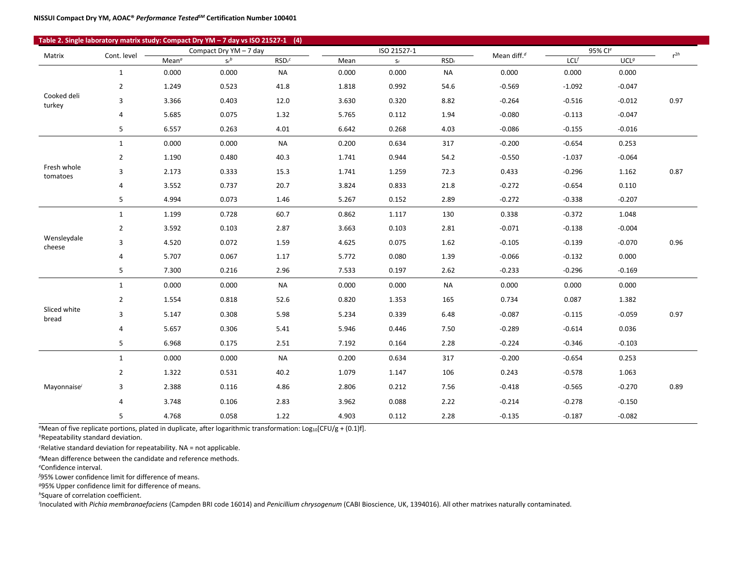| Table 2. Single laboratory matrix study: Compact Dry YM - 7 day vs ISO 21527-1 (4) |                |                        |         |                     |             |       |                  |          |          |                  |      |
|------------------------------------------------------------------------------------|----------------|------------------------|---------|---------------------|-------------|-------|------------------|----------|----------|------------------|------|
| Matrix                                                                             | Cont. level -  | Compact Dry YM - 7 day |         |                     | ISO 21527-1 |       | Mean diff. $d$   | 95% Cle  |          | $r^{2h}$         |      |
|                                                                                    |                | Mean <sup>a</sup>      | $S_r^b$ | $RSDr$ <sup>c</sup> | Mean        | $S_r$ | RSD <sub>r</sub> |          | LCL      | UCL <sup>g</sup> |      |
|                                                                                    | $\mathbf{1}$   | 0.000                  | 0.000   | <b>NA</b>           | 0.000       | 0.000 | <b>NA</b>        | 0.000    | 0.000    | 0.000            |      |
|                                                                                    | $\overline{2}$ | 1.249                  | 0.523   | 41.8                | 1.818       | 0.992 | 54.6             | $-0.569$ | $-1.092$ | $-0.047$         |      |
| Cooked deli<br>turkey                                                              | 3              | 3.366                  | 0.403   | 12.0                | 3.630       | 0.320 | 8.82             | $-0.264$ | $-0.516$ | $-0.012$         | 0.97 |
|                                                                                    | 4              | 5.685                  | 0.075   | 1.32                | 5.765       | 0.112 | 1.94             | $-0.080$ | $-0.113$ | $-0.047$         |      |
|                                                                                    | 5              | 6.557                  | 0.263   | 4.01                | 6.642       | 0.268 | 4.03             | $-0.086$ | $-0.155$ | $-0.016$         |      |
|                                                                                    | $\mathbf{1}$   | 0.000                  | 0.000   | <b>NA</b>           | 0.200       | 0.634 | 317              | $-0.200$ | $-0.654$ | 0.253            |      |
|                                                                                    | $\overline{2}$ | 1.190                  | 0.480   | 40.3                | 1.741       | 0.944 | 54.2             | $-0.550$ | $-1.037$ | $-0.064$         |      |
| Fresh whole<br>tomatoes                                                            | 3              | 2.173                  | 0.333   | 15.3                | 1.741       | 1.259 | 72.3             | 0.433    | $-0.296$ | 1.162            | 0.87 |
|                                                                                    | 4              | 3.552                  | 0.737   | 20.7                | 3.824       | 0.833 | $21.8\,$         | $-0.272$ | $-0.654$ | 0.110            |      |
|                                                                                    | 5              | 4.994                  | 0.073   | 1.46                | 5.267       | 0.152 | 2.89             | $-0.272$ | $-0.338$ | $-0.207$         |      |
|                                                                                    | $\mathbf{1}$   | 1.199                  | 0.728   | 60.7                | 0.862       | 1.117 | 130              | 0.338    | $-0.372$ | 1.048            |      |
|                                                                                    | $\overline{2}$ | 3.592                  | 0.103   | 2.87                | 3.663       | 0.103 | 2.81             | $-0.071$ | $-0.138$ | $-0.004$         |      |
| Wensleydale<br>cheese                                                              | 3              | 4.520                  | 0.072   | 1.59                | 4.625       | 0.075 | 1.62             | $-0.105$ | $-0.139$ | $-0.070$         | 0.96 |
|                                                                                    | 4              | 5.707                  | 0.067   | 1.17                | 5.772       | 0.080 | 1.39             | $-0.066$ | $-0.132$ | 0.000            |      |
|                                                                                    | 5              | 7.300                  | 0.216   | 2.96                | 7.533       | 0.197 | 2.62             | $-0.233$ | $-0.296$ | $-0.169$         |      |
|                                                                                    | $\mathbf{1}$   | 0.000                  | 0.000   | <b>NA</b>           | 0.000       | 0.000 | NA               | 0.000    | 0.000    | 0.000            |      |
|                                                                                    | $\overline{2}$ | 1.554                  | 0.818   | 52.6                | 0.820       | 1.353 | 165              | 0.734    | 0.087    | 1.382            |      |
| Sliced white<br>bread                                                              | 3              | 5.147                  | 0.308   | 5.98                | 5.234       | 0.339 | 6.48             | $-0.087$ | $-0.115$ | $-0.059$         | 0.97 |
|                                                                                    | 4              | 5.657                  | 0.306   | 5.41                | 5.946       | 0.446 | 7.50             | $-0.289$ | $-0.614$ | 0.036            |      |
|                                                                                    | 5              | 6.968                  | 0.175   | 2.51                | 7.192       | 0.164 | 2.28             | $-0.224$ | $-0.346$ | $-0.103$         |      |
|                                                                                    | $\mathbf{1}$   | 0.000                  | 0.000   | <b>NA</b>           | 0.200       | 0.634 | 317              | $-0.200$ | $-0.654$ | 0.253            |      |
|                                                                                    | $\overline{2}$ | 1.322                  | 0.531   | 40.2                | 1.079       | 1.147 | 106              | 0.243    | $-0.578$ | 1.063            |      |
| Mayonnaise <sup>i</sup>                                                            | 3              | 2.388                  | 0.116   | 4.86                | 2.806       | 0.212 | 7.56             | $-0.418$ | $-0.565$ | $-0.270$         | 0.89 |
|                                                                                    | 4              | 3.748                  | 0.106   | 2.83                | 3.962       | 0.088 | 2.22             | $-0.214$ | $-0.278$ | $-0.150$         |      |
|                                                                                    | 5              | 4.768                  | 0.058   | 1.22                | 4.903       | 0.112 | 2.28             | $-0.135$ | $-0.187$ | $-0.082$         |      |

<sup>*a*</sup>Mean of five replicate portions, plated in duplicate, after logarithmic transformation: Log<sub>10</sub>[CFU/g + (0.1)f].

*<sup>b</sup>*Repeatability standard deviation.

*c* Relative standard deviation for repeatability. NA = not applicable.

*<sup>d</sup>*Mean difference between the candidate and reference methods.

*e* Confidence interval.

*f* 95% Lower confidence limit for difference of means.

*<sup>g</sup>*95% Upper confidence limit for difference of means.

*<sup>h</sup>*Square of correlation coefficient.

*i* Inoculated with *Pichia membranaefaciens* (Campden BRI code 16014) and *Penicillium chrysogenum* (CABI Bioscience, UK, 1394016). All other matrixes naturally contaminated.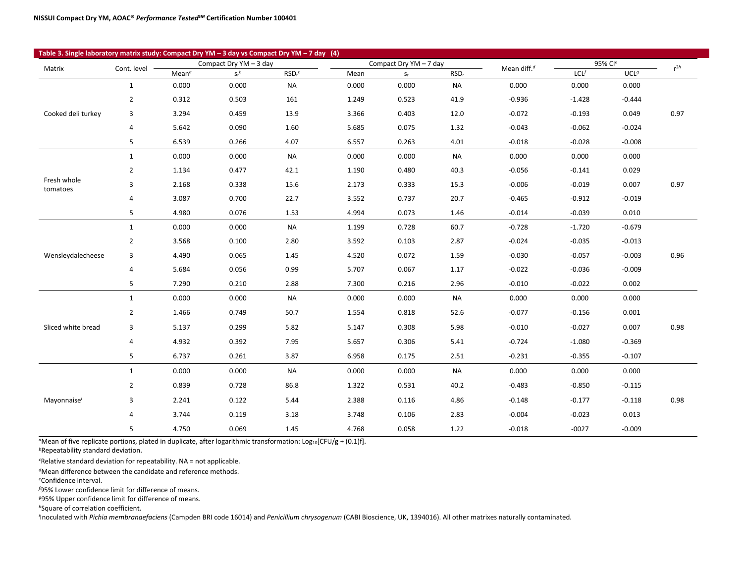| Table 3. Single laboratory matrix study: Compact Dry YM - 3 day vs Compact Dry YM - 7 day (4) |                |                   |                        |                    |       |                        |                  |                         |                     |                  |          |
|-----------------------------------------------------------------------------------------------|----------------|-------------------|------------------------|--------------------|-------|------------------------|------------------|-------------------------|---------------------|------------------|----------|
| Matrix                                                                                        | Cont. level -  |                   | Compact Dry YM - 3 day |                    |       | Compact Dry YM - 7 day |                  | Mean diff. <sup>d</sup> | 95% Cl <sup>e</sup> |                  | $r^{2h}$ |
|                                                                                               |                | Mean <sup>a</sup> | $S_r{}^b$              | RSD <sub>r</sub> c | Mean  | $S_r$                  | RSD <sub>r</sub> |                         | LCL                 | UCL <sup>g</sup> |          |
|                                                                                               | $\mathbf{1}$   | 0.000             | 0.000                  | <b>NA</b>          | 0.000 | 0.000                  | <b>NA</b>        | 0.000                   | 0.000               | 0.000            |          |
|                                                                                               | $\overline{2}$ | 0.312             | 0.503                  | 161                | 1.249 | 0.523                  | 41.9             | $-0.936$                | $-1.428$            | $-0.444$         |          |
| Cooked deli turkey                                                                            | 3              | 3.294             | 0.459                  | 13.9               | 3.366 | 0.403                  | 12.0             | $-0.072$                | $-0.193$            | 0.049            | 0.97     |
|                                                                                               | 4              | 5.642             | 0.090                  | 1.60               | 5.685 | 0.075                  | 1.32             | $-0.043$                | $-0.062$            | $-0.024$         |          |
|                                                                                               | 5              | 6.539             | 0.266                  | 4.07               | 6.557 | 0.263                  | 4.01             | $-0.018$                | $-0.028$            | $-0.008$         |          |
|                                                                                               | 1              | 0.000             | 0.000                  | <b>NA</b>          | 0.000 | 0.000                  | <b>NA</b>        | 0.000                   | 0.000               | 0.000            |          |
|                                                                                               | $\overline{2}$ | 1.134             | 0.477                  | 42.1               | 1.190 | 0.480                  | 40.3             | $-0.056$                | $-0.141$            | 0.029            |          |
| Fresh whole<br>tomatoes                                                                       | 3              | 2.168             | 0.338                  | 15.6               | 2.173 | 0.333                  | 15.3             | $-0.006$                | $-0.019$            | 0.007            | 0.97     |
|                                                                                               | 4              | 3.087             | 0.700                  | 22.7               | 3.552 | 0.737                  | 20.7             | $-0.465$                | $-0.912$            | $-0.019$         |          |
|                                                                                               | 5              | 4.980             | 0.076                  | 1.53               | 4.994 | 0.073                  | 1.46             | $-0.014$                | $-0.039$            | 0.010            |          |
|                                                                                               | $\mathbf{1}$   | 0.000             | 0.000                  | <b>NA</b>          | 1.199 | 0.728                  | 60.7             | $-0.728$                | $-1.720$            | $-0.679$         |          |
|                                                                                               | $\overline{2}$ | 3.568             | 0.100                  | 2.80               | 3.592 | 0.103                  | 2.87             | $-0.024$                | $-0.035$            | $-0.013$         |          |
| Wensleydalecheese                                                                             | 3              | 4.490             | 0.065                  | 1.45               | 4.520 | 0.072                  | 1.59             | $-0.030$                | $-0.057$            | $-0.003$         | 0.96     |
|                                                                                               | 4              | 5.684             | 0.056                  | 0.99               | 5.707 | 0.067                  | 1.17             | $-0.022$                | $-0.036$            | $-0.009$         |          |
|                                                                                               | 5              | 7.290             | 0.210                  | 2.88               | 7.300 | 0.216                  | 2.96             | $-0.010$                | $-0.022$            | 0.002            |          |
|                                                                                               | $\mathbf{1}$   | 0.000             | 0.000                  | <b>NA</b>          | 0.000 | 0.000                  | <b>NA</b>        | 0.000                   | 0.000               | 0.000            |          |
|                                                                                               | $\overline{2}$ | 1.466             | 0.749                  | 50.7               | 1.554 | 0.818                  | 52.6             | $-0.077$                | $-0.156$            | 0.001            |          |
| Sliced white bread                                                                            | 3              | 5.137             | 0.299                  | 5.82               | 5.147 | 0.308                  | 5.98             | $-0.010$                | $-0.027$            | 0.007            | 0.98     |
|                                                                                               | 4              | 4.932             | 0.392                  | 7.95               | 5.657 | 0.306                  | 5.41             | $-0.724$                | $-1.080$            | $-0.369$         |          |
|                                                                                               | 5              | 6.737             | 0.261                  | 3.87               | 6.958 | 0.175                  | 2.51             | $-0.231$                | $-0.355$            | $-0.107$         |          |
|                                                                                               | 1              | 0.000             | 0.000                  | <b>NA</b>          | 0.000 | 0.000                  | <b>NA</b>        | 0.000                   | 0.000               | 0.000            |          |
|                                                                                               | $\overline{2}$ | 0.839             | 0.728                  | 86.8               | 1.322 | 0.531                  | 40.2             | $-0.483$                | $-0.850$            | $-0.115$         |          |
| Mayonnaise <sup>i</sup>                                                                       | 3              | 2.241             | 0.122                  | 5.44               | 2.388 | 0.116                  | 4.86             | $-0.148$                | $-0.177$            | $-0.118$         | 0.98     |
|                                                                                               | 4              | 3.744             | 0.119                  | 3.18               | 3.748 | 0.106                  | 2.83             | $-0.004$                | $-0.023$            | 0.013            |          |
|                                                                                               | 5              | 4.750             | 0.069                  | 1.45               | 4.768 | 0.058                  | 1.22             | $-0.018$                | $-0027$             | $-0.009$         |          |

<sup>a</sup>Mean of five replicate portions, plated in duplicate, after logarithmic transformation: Log<sub>10</sub>[CFU/g + (0.1)f].

*<sup>b</sup>*Repeatability standard deviation.

*c* Relative standard deviation for repeatability. NA = not applicable.

*<sup>d</sup>*Mean difference between the candidate and reference methods.

*e* Confidence interval.

T

*f* 95% Lower confidence limit for difference of means.

*<sup>g</sup>*95% Upper confidence limit for difference of means.

*<sup>h</sup>*Square of correlation coefficient.

*i* Inoculated with *Pichia membranaefaciens* (Campden BRI code 16014) and *Penicillium chrysogenum* (CABI Bioscience, UK, 1394016). All other matrixes naturally contaminated.